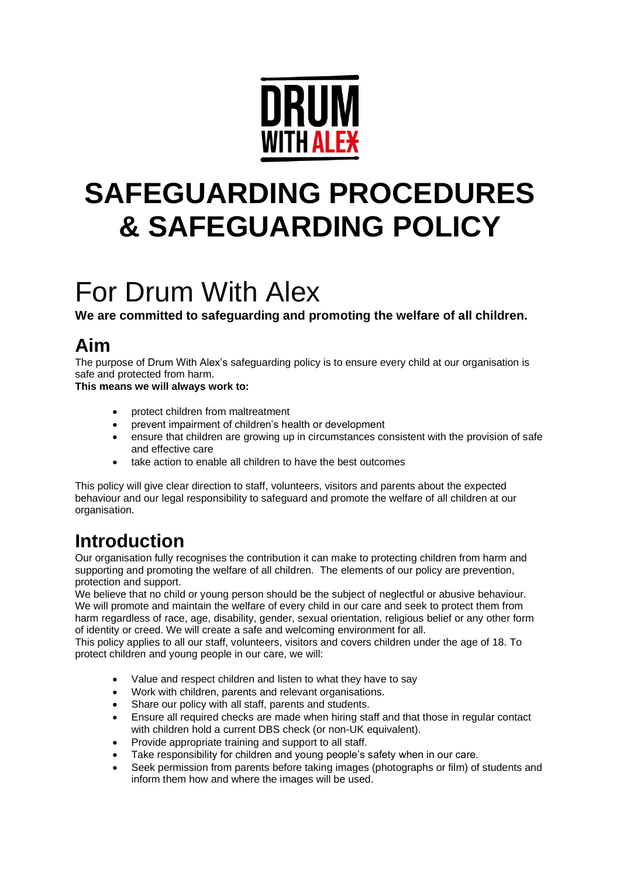

# **SAFEGUARDING PROCEDURES & SAFEGUARDING POLICY**

# For Drum With Alex

**We are committed to safeguarding and promoting the welfare of all children.**

# **Aim**

The purpose of Drum With Alex's safeguarding policy is to ensure every child at our organisation is safe and protected from harm.

**This means we will always work to:**

- protect children from maltreatment
- prevent impairment of children's health or development
- ensure that children are growing up in circumstances consistent with the provision of safe and effective care
- take action to enable all children to have the best outcomes

This policy will give clear direction to staff, volunteers, visitors and parents about the expected behaviour and our legal responsibility to safeguard and promote the welfare of all children at our organisation

# **Introduction**

Our organisation fully recognises the contribution it can make to protecting children from harm and supporting and promoting the welfare of all children. The elements of our policy are prevention, protection and support.

We believe that no child or young person should be the subject of neglectful or abusive behaviour. We will promote and maintain the welfare of every child in our care and seek to protect them from harm regardless of race, age, disability, gender, sexual orientation, religious belief or any other form of identity or creed. We will create a safe and welcoming environment for all.

This policy applies to all our staff, volunteers, visitors and covers children under the age of 18. To protect children and young people in our care, we will:

- Value and respect children and listen to what they have to say
- Work with children, parents and relevant organisations.
- Share our policy with all staff, parents and students.
- Ensure all required checks are made when hiring staff and that those in regular contact with children hold a current DBS check (or non-UK equivalent).
- Provide appropriate training and support to all staff.
- Take responsibility for children and young people's safety when in our care.
- Seek permission from parents before taking images (photographs or film) of students and inform them how and where the images will be used.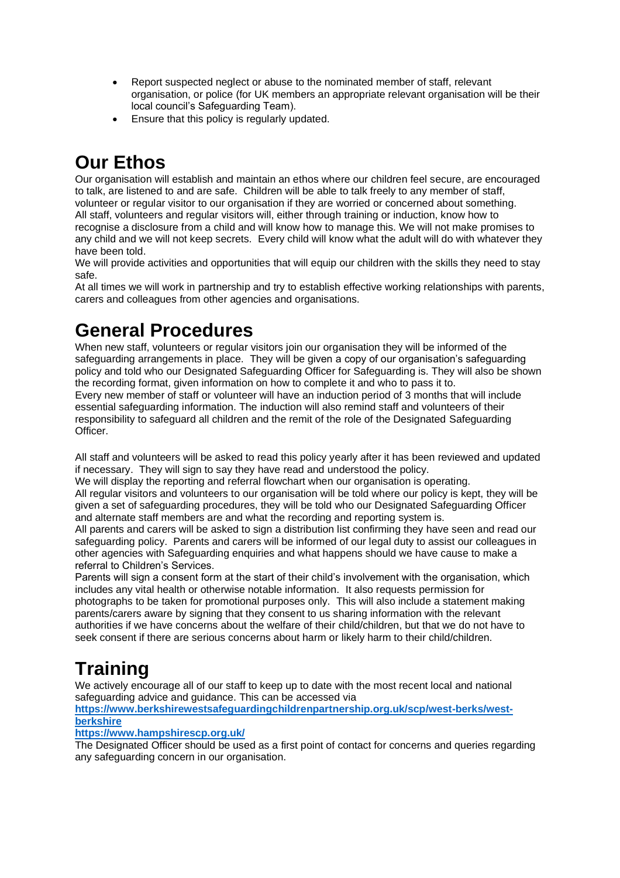- Report suspected neglect or abuse to the nominated member of staff, relevant organisation, or police (for UK members an appropriate relevant organisation will be their local council's Safeguarding Team).
- Ensure that this policy is regularly updated.

# **Our Ethos**

Our organisation will establish and maintain an ethos where our children feel secure, are encouraged to talk, are listened to and are safe. Children will be able to talk freely to any member of staff, volunteer or regular visitor to our organisation if they are worried or concerned about something. All staff, volunteers and regular visitors will, either through training or induction, know how to recognise a disclosure from a child and will know how to manage this. We will not make promises to any child and we will not keep secrets. Every child will know what the adult will do with whatever they have been told.

We will provide activities and opportunities that will equip our children with the skills they need to stay safe.

At all times we will work in partnership and try to establish effective working relationships with parents, carers and colleagues from other agencies and organisations.

# **General Procedures**

When new staff, volunteers or regular visitors join our organisation they will be informed of the safeguarding arrangements in place. They will be given a copy of our organisation's safeguarding policy and told who our Designated Safeguarding Officer for Safeguarding is. They will also be shown the recording format, given information on how to complete it and who to pass it to. Every new member of staff or volunteer will have an induction period of 3 months that will include essential safeguarding information. The induction will also remind staff and volunteers of their responsibility to safeguard all children and the remit of the role of the Designated Safeguarding Officer.

All staff and volunteers will be asked to read this policy yearly after it has been reviewed and updated if necessary. They will sign to say they have read and understood the policy.

We will display the reporting and referral flowchart when our organisation is operating. All regular visitors and volunteers to our organisation will be told where our policy is kept, they will be given a set of safeguarding procedures, they will be told who our Designated Safeguarding Officer and alternate staff members are and what the recording and reporting system is.

All parents and carers will be asked to sign a distribution list confirming they have seen and read our safeguarding policy. Parents and carers will be informed of our legal duty to assist our colleagues in other agencies with Safeguarding enquiries and what happens should we have cause to make a referral to Children's Services.

Parents will sign a consent form at the start of their child's involvement with the organisation, which includes any vital health or otherwise notable information. It also requests permission for photographs to be taken for promotional purposes only. This will also include a statement making parents/carers aware by signing that they consent to us sharing information with the relevant authorities if we have concerns about the welfare of their child/children, but that we do not have to seek consent if there are serious concerns about harm or likely harm to their child/children.

# **Training**

We actively encourage all of our staff to keep up to date with the most recent local and national safeguarding advice and guidance. This can be accessed via

### **[https://www.berkshirewestsafeguardingchildrenpartnership.org.uk/scp/west-berks/west](https://www.berkshirewestsafeguardingchildrenpartnership.org.uk/scp/west-berks/west-berkshire)[berkshire](https://www.berkshirewestsafeguardingchildrenpartnership.org.uk/scp/west-berks/west-berkshire)**

### **<https://www.hampshirescp.org.uk/>**

The Designated Officer should be used as a first point of contact for concerns and queries regarding any safeguarding concern in our organisation.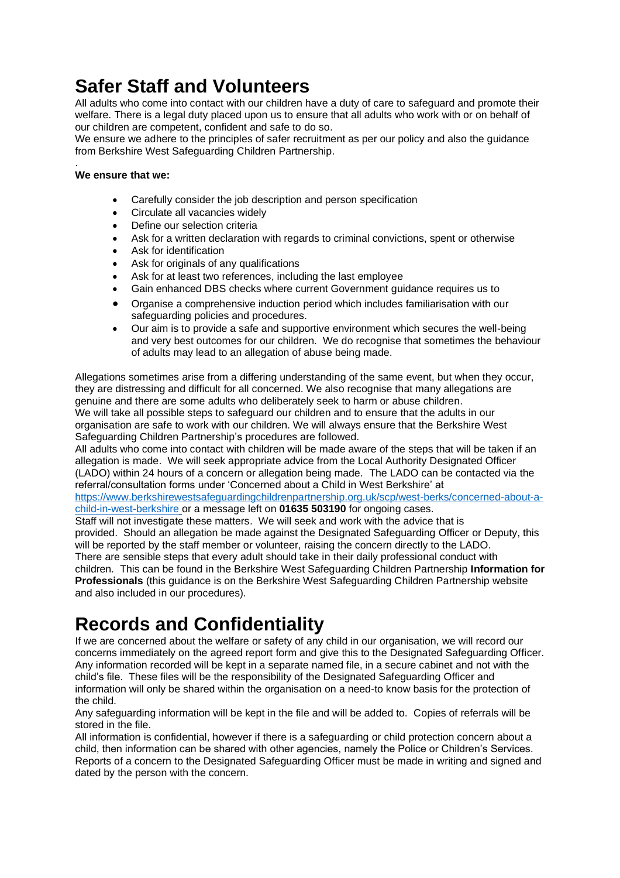# **Safer Staff and Volunteers**

All adults who come into contact with our children have a duty of care to safeguard and promote their welfare. There is a legal duty placed upon us to ensure that all adults who work with or on behalf of our children are competent, confident and safe to do so.

We ensure we adhere to the principles of safer recruitment as per our policy and also the guidance from Berkshire West Safeguarding Children Partnership.

#### . **We ensure that we:**

- Carefully consider the job description and person specification
- Circulate all vacancies widely
- Define our selection criteria
- Ask for a written declaration with regards to criminal convictions, spent or otherwise
- Ask for identification
- Ask for originals of any qualifications
- Ask for at least two references, including the last employee
- Gain enhanced DBS checks where current Government guidance requires us to
- Organise a comprehensive induction period which includes familiarisation with our safeguarding policies and procedures.
- Our aim is to provide a safe and supportive environment which secures the well-being and very best outcomes for our children. We do recognise that sometimes the behaviour of adults may lead to an allegation of abuse being made.

Allegations sometimes arise from a differing understanding of the same event, but when they occur, they are distressing and difficult for all concerned. We also recognise that many allegations are genuine and there are some adults who deliberately seek to harm or abuse children. We will take all possible steps to safeguard our children and to ensure that the adults in our organisation are safe to work with our children. We will always ensure that the Berkshire West Safeguarding Children Partnership's procedures are followed.

All adults who come into contact with children will be made aware of the steps that will be taken if an allegation is made. We will seek appropriate advice from the Local Authority Designated Officer (LADO) within 24 hours of a concern or allegation being made. The LADO can be contacted via the referral/consultation forms under 'Concerned about a Child in West Berkshire' at [https://www.berkshirewestsafeguardingchildrenpartnership.org.uk/scp/west-berks/concerned-about-a-](https://www.berkshirewestsafeguardingchildrenpartnership.org.uk/scp/west-berks/concerned-about-a-child-in-west-berkshire)

[child-in-west-berkshire](https://www.berkshirewestsafeguardingchildrenpartnership.org.uk/scp/west-berks/concerned-about-a-child-in-west-berkshire) or a message left on **01635 503190** for ongoing cases. Staff will not investigate these matters. We will seek and work with the advice that is provided. Should an allegation be made against the Designated Safeguarding Officer or Deputy, this will be reported by the staff member or volunteer, raising the concern directly to the LADO. There are sensible steps that every adult should take in their daily professional conduct with children. This can be found in the Berkshire West Safeguarding Children Partnership **Information for** 

**Professionals** (this guidance is on the Berkshire West Safeguarding Children Partnership website and also included in our procedures).

# **Records and Confidentiality**

If we are concerned about the welfare or safety of any child in our organisation, we will record our concerns immediately on the agreed report form and give this to the Designated Safeguarding Officer. Any information recorded will be kept in a separate named file, in a secure cabinet and not with the child's file. These files will be the responsibility of the Designated Safeguarding Officer and information will only be shared within the organisation on a need-to know basis for the protection of the child.

Any safeguarding information will be kept in the file and will be added to. Copies of referrals will be stored in the file.

All information is confidential, however if there is a safeguarding or child protection concern about a child, then information can be shared with other agencies, namely the Police or Children's Services. Reports of a concern to the Designated Safeguarding Officer must be made in writing and signed and dated by the person with the concern.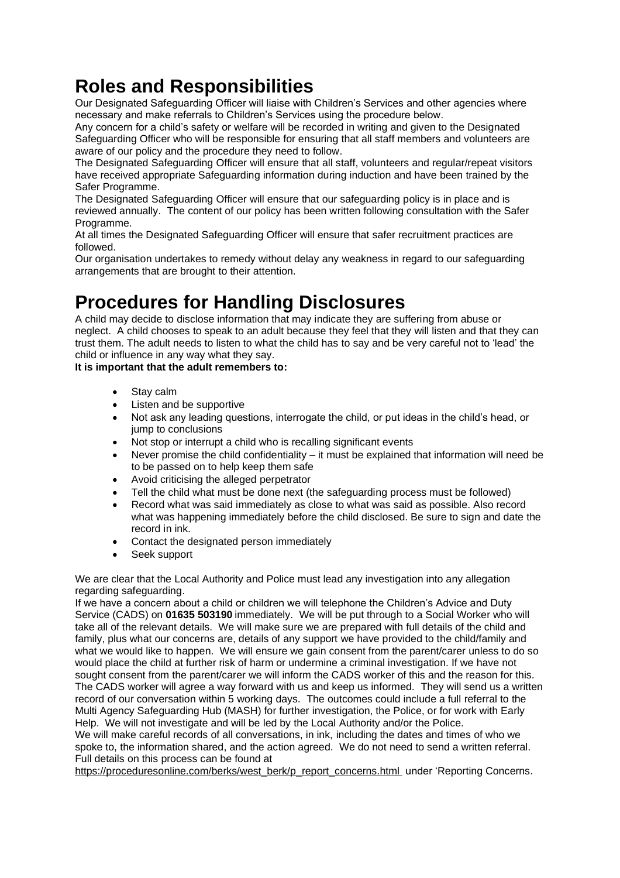# **Roles and Responsibilities**

Our Designated Safeguarding Officer will liaise with Children's Services and other agencies where necessary and make referrals to Children's Services using the procedure below.

Any concern for a child's safety or welfare will be recorded in writing and given to the Designated Safeguarding Officer who will be responsible for ensuring that all staff members and volunteers are aware of our policy and the procedure they need to follow.

The Designated Safeguarding Officer will ensure that all staff, volunteers and regular/repeat visitors have received appropriate Safeguarding information during induction and have been trained by the Safer Programme.

The Designated Safeguarding Officer will ensure that our safeguarding policy is in place and is reviewed annually. The content of our policy has been written following consultation with the Safer Programme.

At all times the Designated Safeguarding Officer will ensure that safer recruitment practices are followed.

Our organisation undertakes to remedy without delay any weakness in regard to our safeguarding arrangements that are brought to their attention.

# **Procedures for Handling Disclosures**

A child may decide to disclose information that may indicate they are suffering from abuse or neglect. A child chooses to speak to an adult because they feel that they will listen and that they can trust them. The adult needs to listen to what the child has to say and be very careful not to 'lead' the child or influence in any way what they say.

**It is important that the adult remembers to:**

- Stay calm
- Listen and be supportive
- Not ask any leading questions, interrogate the child, or put ideas in the child's head, or jump to conclusions
- Not stop or interrupt a child who is recalling significant events
- Never promise the child confidentiality it must be explained that information will need be to be passed on to help keep them safe
- Avoid criticising the alleged perpetrator
- Tell the child what must be done next (the safeguarding process must be followed)
- Record what was said immediately as close to what was said as possible. Also record what was happening immediately before the child disclosed. Be sure to sign and date the record in ink.
- Contact the designated person immediately
- Seek support

We are clear that the Local Authority and Police must lead any investigation into any allegation regarding safeguarding.

If we have a concern about a child or children we will telephone the Children's Advice and Duty Service (CADS) on **01635 503190** immediately. We will be put through to a Social Worker who will take all of the relevant details. We will make sure we are prepared with full details of the child and family, plus what our concerns are, details of any support we have provided to the child/family and what we would like to happen. We will ensure we gain consent from the parent/carer unless to do so would place the child at further risk of harm or undermine a criminal investigation. If we have not sought consent from the parent/carer we will inform the CADS worker of this and the reason for this. The CADS worker will agree a way forward with us and keep us informed. They will send us a written record of our conversation within 5 working days. The outcomes could include a full referral to the Multi Agency Safeguarding Hub (MASH) for further investigation, the Police, or for work with Early Help. We will not investigate and will be led by the Local Authority and/or the Police.

We will make careful records of all conversations, in ink, including the dates and times of who we spoke to, the information shared, and the action agreed. [We do not need to send a written referral.](http://www.norfolklscb.org/) Full details on this process can be found at

[https://proceduresonline.com/berks/west\\_berk/p\\_report\\_concerns.html](http://www.norfolklscb.org/) under 'Reporting Concerns.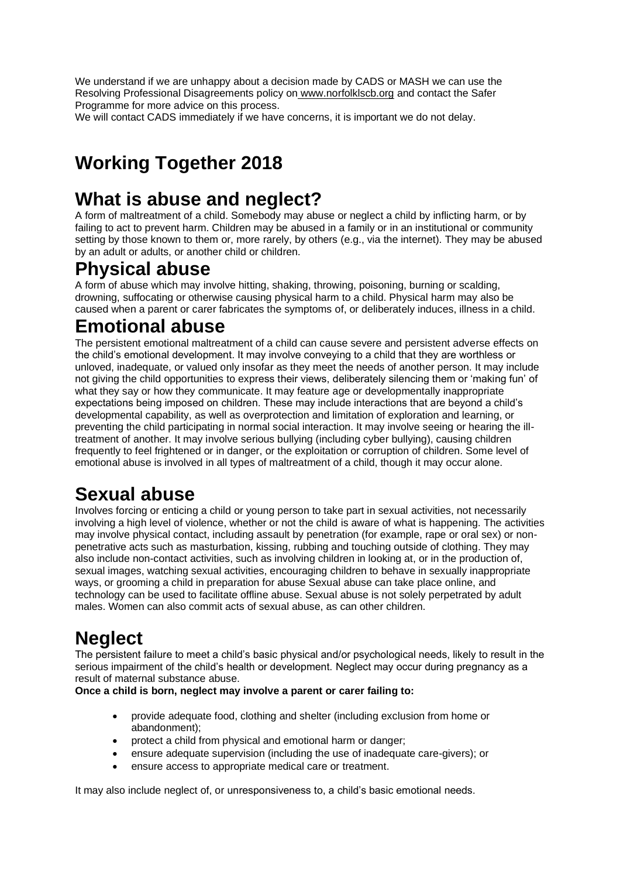We understand if we are unhappy about a decision made by CADS or MASH we can use the Resolving Professional Disagreements policy on [www.norfolklscb.org](http://www.norfolklscb.org/) and contact the Safer Programme for more advice on this process.

We will contact CADS immediately if we have concerns, it is important we do not delay.

# **Working Together 2018**

# **What is abuse and neglect?**

A form of maltreatment of a child. Somebody may abuse or neglect a child by inflicting harm, or by failing to act to prevent harm. Children may be abused in a family or in an institutional or community setting by those known to them or, more rarely, by others (e.g., via the internet). They may be abused by an adult or adults, or another child or children.

### **Physical abuse**

A form of abuse which may involve hitting, shaking, throwing, poisoning, burning or scalding, drowning, suffocating or otherwise causing physical harm to a child. Physical harm may also be caused when a parent or carer fabricates the symptoms of, or deliberately induces, illness in a child.

### **Emotional abuse**

The persistent emotional maltreatment of a child can cause severe and persistent adverse effects on the child's emotional development. It may involve conveying to a child that they are worthless or unloved, inadequate, or valued only insofar as they meet the needs of another person. It may include not giving the child opportunities to express their views, deliberately silencing them or 'making fun' of what they say or how they communicate. It may feature age or developmentally inappropriate expectations being imposed on children. These may include interactions that are beyond a child's developmental capability, as well as overprotection and limitation of exploration and learning, or preventing the child participating in normal social interaction. It may involve seeing or hearing the illtreatment of another. It may involve serious bullying (including cyber bullying), causing children frequently to feel frightened or in danger, or the exploitation or corruption of children. Some level of emotional abuse is involved in all types of maltreatment of a child, though it may occur alone.

# **Sexual abuse**

Involves forcing or enticing a child or young person to take part in sexual activities, not necessarily involving a high level of violence, whether or not the child is aware of what is happening. The activities may involve physical contact, including assault by penetration (for example, rape or oral sex) or nonpenetrative acts such as masturbation, kissing, rubbing and touching outside of clothing. They may also include non-contact activities, such as involving children in looking at, or in the production of, sexual images, watching sexual activities, encouraging children to behave in sexually inappropriate ways, or grooming a child in preparation for abuse Sexual abuse can take place online, and technology can be used to facilitate offline abuse. Sexual abuse is not solely perpetrated by adult males. Women can also commit acts of sexual abuse, as can other children.

# **Neglect**

The persistent failure to meet a child's basic physical and/or psychological needs, likely to result in the serious impairment of the child's health or development. Neglect may occur during pregnancy as a result of maternal substance abuse.

### **Once a child is born, neglect may involve a parent or carer failing to:**

- provide adequate food, clothing and shelter (including exclusion from home or abandonment);
- protect a child from physical and emotional harm or danger;
- ensure adequate supervision (including the use of inadequate care-givers); or
- ensure access to appropriate medical care or treatment.

It may also include neglect of, or unresponsiveness to, a child's basic emotional needs.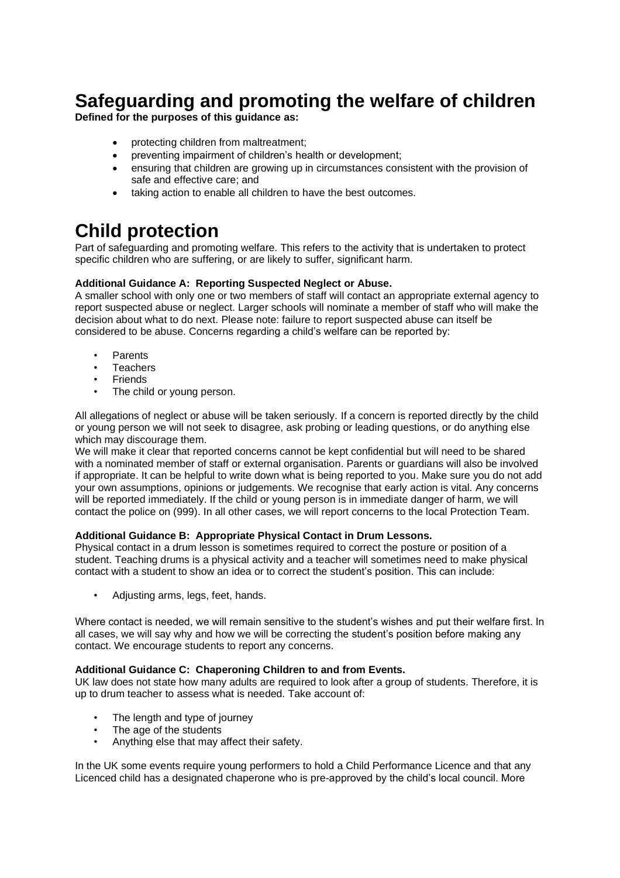# **Safeguarding and promoting the welfare of children**

**Defined for the purposes of this guidance as:**

- protecting children from maltreatment;
- preventing impairment of children's health or development;
- ensuring that children are growing up in circumstances consistent with the provision of safe and effective care; and
- taking action to enable all children to have the best outcomes.

# **Child protection**

Part of safeguarding and promoting welfare. This refers to the activity that is undertaken to protect specific children who are suffering, or are likely to suffer, significant harm.

### **Additional Guidance A: Reporting Suspected Neglect or Abuse.**

A smaller school with only one or two members of staff will contact an appropriate external agency to report suspected abuse or neglect. Larger schools will nominate a member of staff who will make the decision about what to do next. Please note: failure to report suspected abuse can itself be considered to be abuse. Concerns regarding a child's welfare can be reported by:

- **Parents**
- **Teachers**
- **Friends**
- The child or young person.

All allegations of neglect or abuse will be taken seriously. If a concern is reported directly by the child or young person we will not seek to disagree, ask probing or leading questions, or do anything else which may discourage them.

We will make it clear that reported concerns cannot be kept confidential but will need to be shared with a nominated member of staff or external organisation. Parents or guardians will also be involved if appropriate. It can be helpful to write down what is being reported to you. Make sure you do not add your own assumptions, opinions or judgements. We recognise that early action is vital. Any concerns will be reported immediately. If the child or young person is in immediate danger of harm, we will contact the police on (999). In all other cases, we will report concerns to the local Protection Team.

### **Additional Guidance B: Appropriate Physical Contact in Drum Lessons.**

Physical contact in a drum lesson is sometimes required to correct the posture or position of a student. Teaching drums is a physical activity and a teacher will sometimes need to make physical contact with a student to show an idea or to correct the student's position. This can include:

• Adjusting arms, legs, feet, hands.

Where contact is needed, we will remain sensitive to the student's wishes and put their welfare first. In all cases, we will say why and how we will be correcting the student's position before making any contact. We encourage students to report any concerns.

### **Additional Guidance C: Chaperoning Children to and from Events.**

UK law does not state how many adults are required to look after a group of students. Therefore, it is up to drum teacher to assess what is needed. Take account of:

- The length and type of journey
- The age of the students
- Anything else that may affect their safety.

In the UK some events require young performers to hold a Child Performance Licence and that any Licenced child has a designated chaperone who is pre-approved by the child's local council. More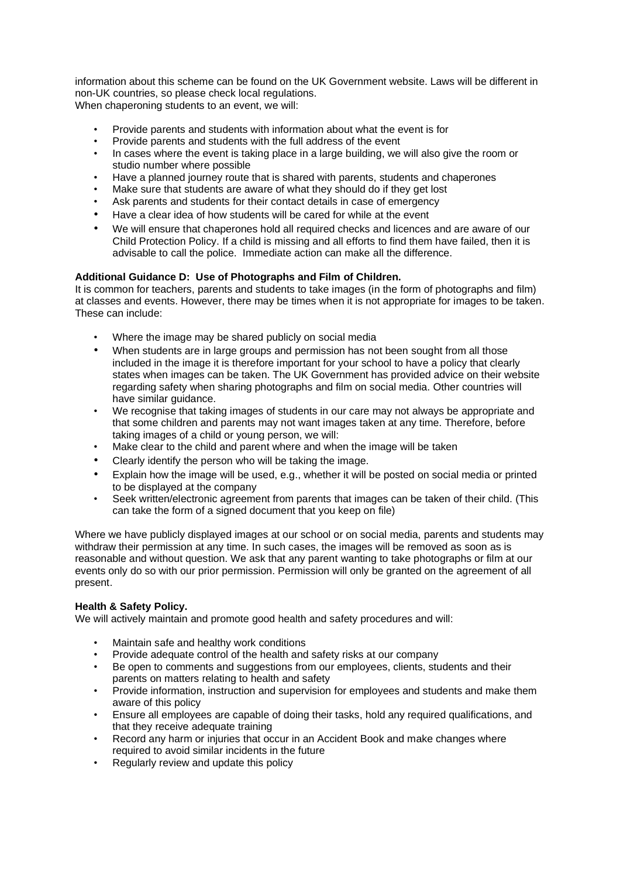information about this scheme can be found on the UK Government website. Laws will be different in non-UK countries, so please check local regulations. When chaperoning students to an event, we will:

- Provide parents and students with information about what the event is for
- Provide parents and students with the full address of the event
- In cases where the event is taking place in a large building, we will also give the room or studio number where possible
- Have a planned journey route that is shared with parents, students and chaperones
- Make sure that students are aware of what they should do if they get lost
- Ask parents and students for their contact details in case of emergency
- Have a clear idea of how students will be cared for while at the event
- We will ensure that chaperones hold all required checks and licences and are aware of our Child Protection Policy. If a child is missing and all efforts to find them have failed, then it is advisable to call the police. Immediate action can make all the difference.

### **Additional Guidance D: Use of Photographs and Film of Children.**

It is common for teachers, parents and students to take images (in the form of photographs and film) at classes and events. However, there may be times when it is not appropriate for images to be taken. These can include:

- Where the image may be shared publicly on social media
- When students are in large groups and permission has not been sought from all those included in the image it is therefore important for your school to have a policy that clearly states when images can be taken. The UK Government has provided advice on their website regarding safety when sharing photographs and film on social media. Other countries will have similar guidance.
- We recognise that taking images of students in our care may not always be appropriate and that some children and parents may not want images taken at any time. Therefore, before taking images of a child or young person, we will:
- Make clear to the child and parent where and when the image will be taken
- Clearly identify the person who will be taking the image.
- Explain how the image will be used, e.g., whether it will be posted on social media or printed to be displayed at the company
- Seek written/electronic agreement from parents that images can be taken of their child. (This can take the form of a signed document that you keep on file)

Where we have publicly displayed images at our school or on social media, parents and students may withdraw their permission at any time. In such cases, the images will be removed as soon as is reasonable and without question. We ask that any parent wanting to take photographs or film at our events only do so with our prior permission. Permission will only be granted on the agreement of all present.

### **Health & Safety Policy.**

We will actively maintain and promote good health and safety procedures and will:

- Maintain safe and healthy work conditions
- Provide adequate control of the health and safety risks at our company
- Be open to comments and suggestions from our employees, clients, students and their parents on matters relating to health and safety
- Provide information, instruction and supervision for employees and students and make them aware of this policy
- Ensure all employees are capable of doing their tasks, hold any required qualifications, and that they receive adequate training
- Record any harm or injuries that occur in an Accident Book and make changes where required to avoid similar incidents in the future
- Regularly review and update this policy